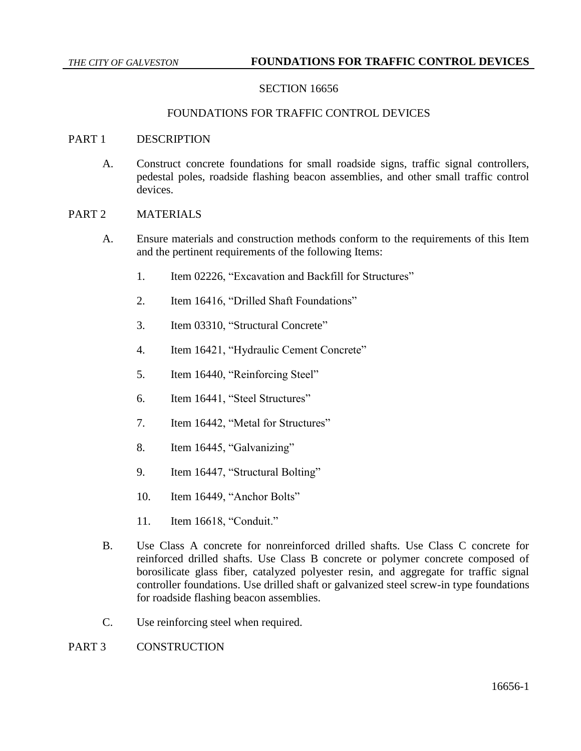## SECTION 16656

#### FOUNDATIONS FOR TRAFFIC CONTROL DEVICES

#### PART 1 DESCRIPTION

A. Construct concrete foundations for small roadside signs, traffic signal controllers, pedestal poles, roadside flashing beacon assemblies, and other small traffic control devices.

#### PART 2 MATERIALS

- A. Ensure materials and construction methods conform to the requirements of this Item and the pertinent requirements of the following Items:
	- 1. Item 02226, "Excavation and Backfill for Structures"
	- 2. Item 16416, "Drilled Shaft Foundations"
	- 3. Item 03310, "Structural Concrete"
	- 4. Item 16421, "Hydraulic Cement Concrete"
	- 5. Item 16440, "Reinforcing Steel"
	- 6. Item 16441, "Steel Structures"
	- 7. Item 16442, "Metal for Structures"
	- 8. Item 16445, "Galvanizing"
	- 9. Item 16447, "Structural Bolting"
	- 10. Item 16449, "Anchor Bolts"
	- 11. Item 16618, "Conduit."
- B. Use Class A concrete for nonreinforced drilled shafts. Use Class C concrete for reinforced drilled shafts. Use Class B concrete or polymer concrete composed of borosilicate glass fiber, catalyzed polyester resin, and aggregate for traffic signal controller foundations. Use drilled shaft or galvanized steel screw-in type foundations for roadside flashing beacon assemblies.
- C. Use reinforcing steel when required.

## PART 3 CONSTRUCTION